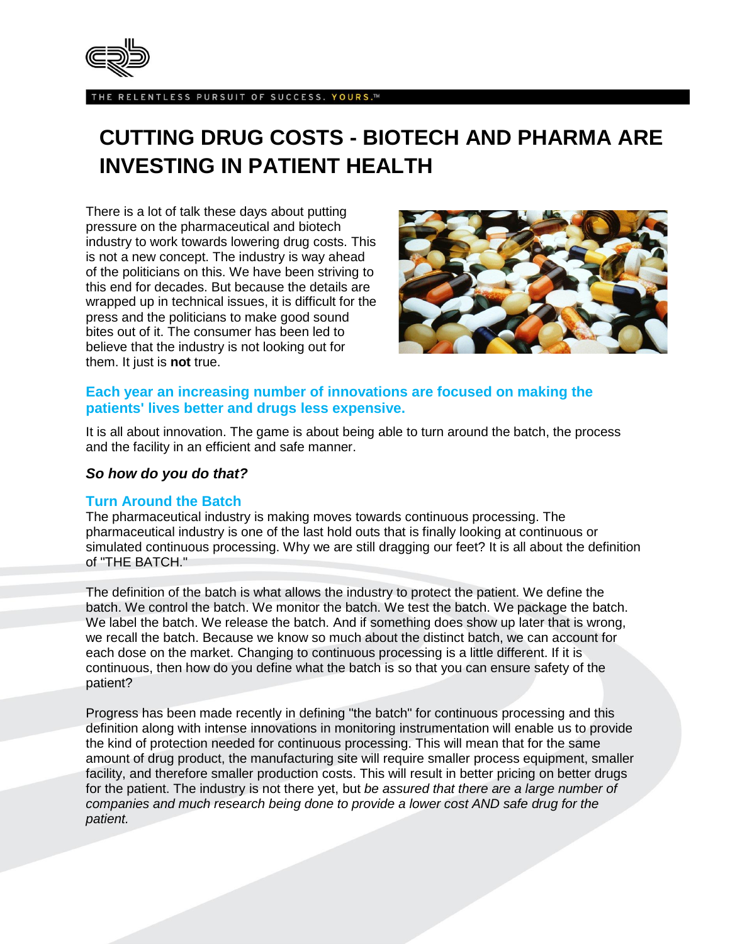

HE RELENTLESS PURSUIT OF SUCCESS. YOURS.™

# **CUTTING DRUG COSTS - BIOTECH AND PHARMA ARE INVESTING IN PATIENT HEALTH**

There is a lot of talk these days about putting pressure on the pharmaceutical and biotech industry to work towards lowering drug costs. This is not a new concept. The industry is way ahead of the politicians on this. We have been striving to this end for decades. But because the details are wrapped up in technical issues, it is difficult for the press and the politicians to make good sound bites out of it. The consumer has been led to believe that the industry is not looking out for them. It just is **not** true.



## **Each year an increasing number of innovations are focused on making the patients' lives better and drugs less expensive.**

It is all about innovation. The game is about being able to turn around the batch, the process and the facility in an efficient and safe manner.

## *So how do you do that?*

### **Turn Around the Batch**

The pharmaceutical industry is making moves towards continuous processing. The pharmaceutical industry is one of the last hold outs that is finally looking at continuous or simulated continuous processing. Why we are still dragging our feet? It is all about the definition of "THE BATCH."

The definition of the batch is what allows the industry to protect the patient. We define the batch. We control the batch. We monitor the batch. We test the batch. We package the batch. We label the batch. We release the batch. And if something does show up later that is wrong, we recall the batch. Because we know so much about the distinct batch, we can account for each dose on the market. Changing to continuous processing is a little different. If it is continuous, then how do you define what the batch is so that you can ensure safety of the patient?

Progress has been made recently in defining "the batch" for continuous processing and this definition along with intense innovations in monitoring instrumentation will enable us to provide the kind of protection needed for continuous processing. This will mean that for the same amount of drug product, the manufacturing site will require smaller process equipment, smaller facility, and therefore smaller production costs. This will result in better pricing on better drugs for the patient. The industry is not there yet, but *be assured that there are a large number of companies and much research being done to provide a lower cost AND safe drug for the patient.*